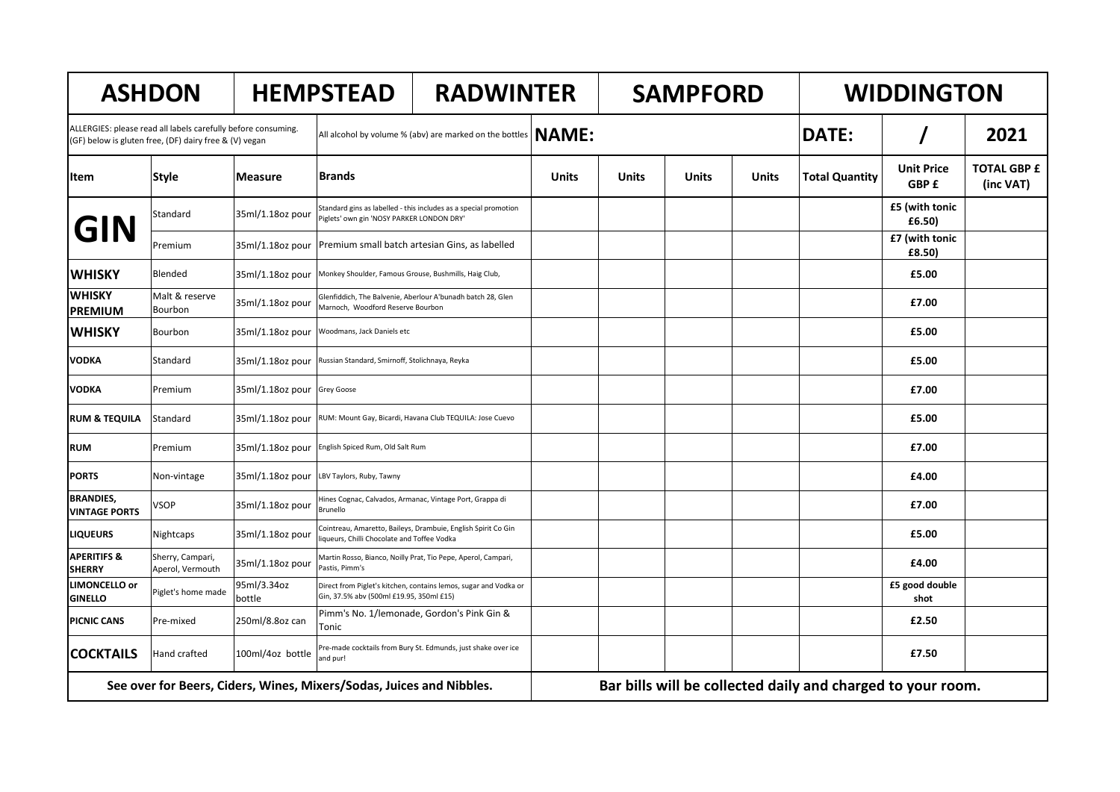| <b>ASHDON</b>                                                                                                                       |                                      | <b>HEMPSTEAD</b>            |                                                                         | <b>RADWINTER</b>                                                 |              | <b>SAMPFORD</b> |       | <b>WIDDINGTON</b> |                       |                            |                                 |
|-------------------------------------------------------------------------------------------------------------------------------------|--------------------------------------|-----------------------------|-------------------------------------------------------------------------|------------------------------------------------------------------|--------------|-----------------|-------|-------------------|-----------------------|----------------------------|---------------------------------|
| ALLERGIES: please read all labels carefully before consuming.<br>(GF) below is gluten free, (DF) dairy free & (V) vegan             |                                      |                             | <b>NAME:</b><br>All alcohol by volume % (abv) are marked on the bottles |                                                                  |              |                 |       |                   | <b>DATE:</b>          |                            | 2021                            |
| lltem                                                                                                                               | <b>Style</b>                         | <b>Measure</b>              | <b>Brands</b>                                                           |                                                                  | <b>Units</b> | Units           | Units | <b>Units</b>      | <b>Total Quantity</b> | <b>Unit Price</b><br>GBP £ | <b>TOTAL GBP £</b><br>(inc VAT) |
| <b>GIN</b>                                                                                                                          | Standard                             | 35ml/1.18oz pour            | Piglets' own gin 'NOSY PARKER LONDON DRY'                               | Standard gins as labelled - this includes as a special promotion |              |                 |       |                   |                       | £5 (with tonic<br>£6.50)   |                                 |
|                                                                                                                                     | Premium                              | 35ml/1.18oz pour            |                                                                         | Premium small batch artesian Gins, as labelled                   |              |                 |       |                   |                       | £7 (with tonic<br>£8.50)   |                                 |
| <b>WHISKY</b>                                                                                                                       | Blended                              | 35ml/1.18oz pour            | Monkey Shoulder, Famous Grouse, Bushmills, Haig Club,                   |                                                                  |              |                 |       |                   |                       | £5.00                      |                                 |
| <b>WHISKY</b><br><b>PREMIUM</b>                                                                                                     | Malt & reserve<br>Bourbon            | 35ml/1.18oz pour            | Marnoch, Woodford Reserve Bourbon                                       | Glenfiddich, The Balvenie, Aberlour A'bunadh batch 28, Glen      |              |                 |       |                   |                       | £7.00                      |                                 |
| <b>WHISKY</b>                                                                                                                       | Bourbon                              | 35ml/1.18oz pour            | Woodmans, Jack Daniels etc                                              |                                                                  |              |                 |       |                   |                       | £5.00                      |                                 |
| <b>VODKA</b>                                                                                                                        | Standard                             | 35ml/1.18oz pour            | Russian Standard, Smirnoff, Stolichnaya, Reyka                          |                                                                  |              |                 |       |                   |                       | £5.00                      |                                 |
| <b>VODKA</b>                                                                                                                        | Premium                              | 35ml/1.18oz pour Grey Goose |                                                                         |                                                                  |              |                 |       |                   |                       | £7.00                      |                                 |
| <b>RUM &amp; TEQUILA</b>                                                                                                            | Standard                             | 35ml/1.18oz pour            |                                                                         | RUM: Mount Gay, Bicardi, Havana Club TEQUILA: Jose Cuevo         |              |                 |       |                   |                       | £5.00                      |                                 |
| <b>RUM</b>                                                                                                                          | Premium                              | 35ml/1.18oz pour            | English Spiced Rum, Old Salt Rum                                        |                                                                  |              |                 |       |                   |                       | £7.00                      |                                 |
| <b>PORTS</b>                                                                                                                        | Non-vintage                          | 35ml/1.18oz pour            | LBV Taylors, Ruby, Tawny                                                |                                                                  |              |                 |       |                   |                       | £4.00                      |                                 |
| <b>BRANDIES,</b><br><b>VINTAGE PORTS</b>                                                                                            | VSOP                                 | 35ml/1.18oz pour            | Brunello                                                                | Hines Cognac, Calvados, Armanac, Vintage Port, Grappa di         |              |                 |       |                   |                       | £7.00                      |                                 |
| <b>LIQUEURS</b>                                                                                                                     | Nightcaps                            | 35ml/1.18oz pour            | liqueurs, Chilli Chocolate and Toffee Vodka                             | Cointreau, Amaretto, Baileys, Drambuie, English Spirit Co Gin    |              |                 |       |                   |                       | £5.00                      |                                 |
| <b>APERITIFS &amp;</b><br><b>SHERRY</b>                                                                                             | Sherry, Campari,<br>Aperol, Vermouth | 35ml/1.18oz pour            | Pastis, Pimm's                                                          | Martin Rosso, Bianco, Noilly Prat, Tio Pepe, Aperol, Campari,    |              |                 |       |                   |                       | £4.00                      |                                 |
| <b>LIMONCELLO or</b><br><b>GINELLO</b>                                                                                              | Piglet's home made                   | 95ml/3.34oz<br>bottle       | Gin, 37.5% abv (500ml £19.95, 350ml £15)                                | Direct from Piglet's kitchen, contains lemos, sugar and Vodka or |              |                 |       |                   |                       | £5 good double<br>shot     |                                 |
| <b>PICNIC CANS</b>                                                                                                                  | Pre-mixed                            | 250ml/8.8oz can             | Tonic                                                                   | Pimm's No. 1/lemonade, Gordon's Pink Gin &                       |              |                 |       |                   |                       | £2.50                      |                                 |
| <b>COCKTAILS</b>                                                                                                                    | Hand crafted                         | 100ml/4oz bottle            | and pur!                                                                | Pre-made cocktails from Bury St. Edmunds, just shake over ice    |              |                 |       |                   |                       | £7.50                      |                                 |
| Bar bills will be collected daily and charged to your room.<br>See over for Beers, Ciders, Wines, Mixers/Sodas, Juices and Nibbles. |                                      |                             |                                                                         |                                                                  |              |                 |       |                   |                       |                            |                                 |